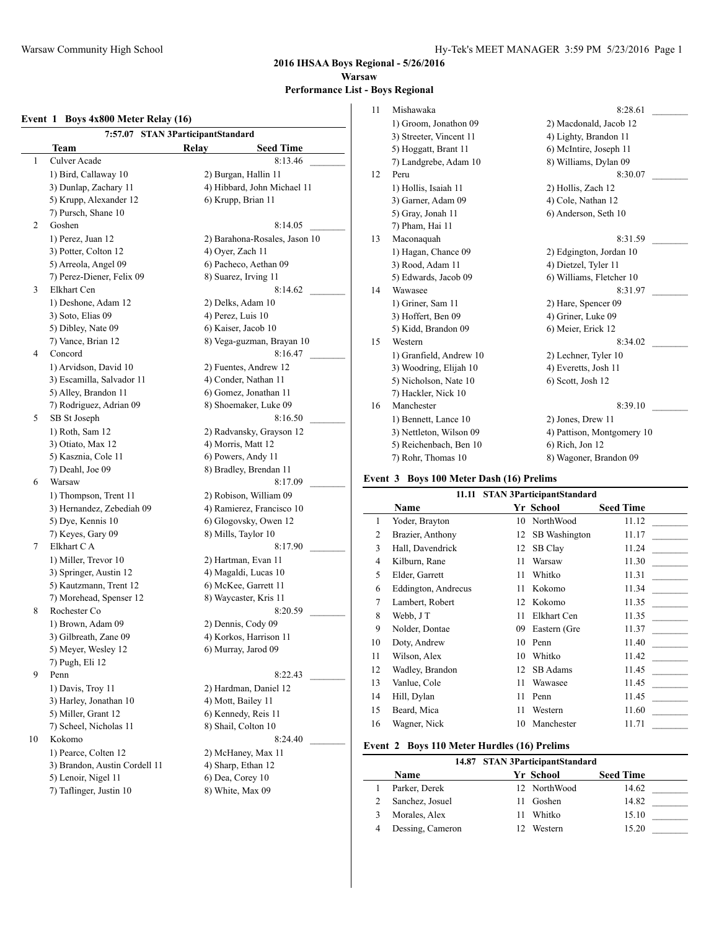**2016 IHSAA Boys Regional - 5/26/2016 Warsaw Performance List - Boys Regional**

 $\sim$ 

 $\overline{a}$ 

#### **Event 1 Boys 4x800 Meter Relay (16)**

| 7:57.07 STAN 3ParticipantStandard |                               |
|-----------------------------------|-------------------------------|
| Team                              | <b>Seed Time</b><br>Relay     |
| Culver Acade<br>1                 | 8:13.46                       |
| 1) Bird, Callaway 10              | 2) Burgan, Hallin 11          |
| 3) Dunlap, Zachary 11             | 4) Hibbard, John Michael 11   |
| 5) Krupp, Alexander 12            | 6) Krupp, Brian 11            |
| 7) Pursch, Shane 10               |                               |
| 2<br>Goshen                       | 8:14.05                       |
| 1) Perez, Juan 12                 | 2) Barahona-Rosales, Jason 10 |
| 3) Potter, Colton 12              | 4) Oyer, Zach 11              |
| 5) Arreola, Angel 09              | 6) Pacheco, Aethan 09         |
| 7) Perez-Diener, Felix 09         | 8) Suarez, Irving 11          |
| 3<br>Elkhart Cen                  | 8:14.62                       |
| 1) Deshone, Adam 12               | 2) Delks, Adam 10             |
| 3) Soto, Elias 09                 | 4) Perez, Luis 10             |
| 5) Dibley, Nate 09                | 6) Kaiser, Jacob 10           |
| 7) Vance, Brian 12                | 8) Vega-guzman, Brayan 10     |
| 4<br>Concord                      | 8:16.47                       |
| 1) Arvidson, David 10             | 2) Fuentes, Andrew 12         |
| 3) Escamilla, Salvador 11         | 4) Conder, Nathan 11          |
| 5) Alley, Brandon 11              | 6) Gomez, Jonathan 11         |
| 7) Rodriguez, Adrian 09           | 8) Shoemaker, Luke 09         |
| 5<br>SB St Joseph                 | 8:16.50                       |
| 1) Roth, Sam 12                   | 2) Radvansky, Grayson 12      |
| 3) Otiato, Max 12                 | 4) Morris, Matt 12            |
| 5) Kasznia, Cole 11               | 6) Powers, Andy 11            |
| 7) Deahl, Joe 09                  | 8) Bradley, Brendan 11        |
| 6<br>Warsaw                       | 8:17.09                       |
| 1) Thompson, Trent 11             | 2) Robison, William 09        |
| 3) Hernandez, Zebediah 09         | 4) Ramierez, Francisco 10     |
| 5) Dye, Kennis 10                 | 6) Glogovsky, Owen 12         |
| 7) Keyes, Gary 09                 | 8) Mills, Taylor 10           |
| Elkhart CA<br>7                   | 8:17.90                       |
| 1) Miller, Trevor 10              | 2) Hartman, Evan 11           |
| 3) Springer, Austin 12            | 4) Magaldi, Lucas 10          |
| 5) Kautzmann, Trent 12            | 6) McKee, Garrett 11          |
| 7) Morehead, Spenser 12           | 8) Waycaster, Kris 11         |
| Rochester Co<br>8                 | 8:20.59                       |
| 1) Brown, Adam 09                 | 2) Dennis, Cody 09            |
| 3) Gilbreath, Zane 09             | 4) Korkos, Harrison 11        |
| 5) Meyer, Wesley 12               | 6) Murray, Jarod 09           |
| 7) Pugh, Eli 12                   |                               |
| 9<br>Penn                         | 8:22.43                       |
| 1) Davis, Troy 11                 | 2) Hardman, Daniel 12         |
| 3) Harley, Jonathan 10            | 4) Mott, Bailey 11            |
| 5) Miller, Grant 12               | 6) Kennedy, Reis 11           |
| 7) Scheel, Nicholas 11            | 8) Shail, Colton 10           |
| 10<br>Kokomo                      | 8:24.40                       |
| 1) Pearce, Colten 12              | 2) McHaney, Max 11            |
| 3) Brandon, Austin Cordell 11     | 4) Sharp, Ethan 12            |
| 5) Lenoir, Nigel 11               | 6) Dea, Corey 10              |
| 7) Taflinger, Justin 10           | 8) White, Max 09              |

| 11 | Mishawaka               | 8:28.61                    |
|----|-------------------------|----------------------------|
|    | 1) Groom, Jonathon 09   | 2) Macdonald, Jacob 12     |
|    | 3) Streeter, Vincent 11 | 4) Lighty, Brandon 11      |
|    | 5) Hoggatt, Brant 11    | 6) McIntire, Joseph 11     |
|    | 7) Landgrebe, Adam 10   | 8) Williams, Dylan 09      |
| 12 | Peru                    | 8:30.07                    |
|    | 1) Hollis, Isaiah 11    | 2) Hollis, Zach 12         |
|    | 3) Garner, Adam 09      | 4) Cole, Nathan 12         |
|    | 5) Gray, Jonah 11       | 6) Anderson, Seth 10       |
|    | 7) Pham, Hai 11         |                            |
| 13 | Maconaquah              | 8:31.59                    |
|    | 1) Hagan, Chance 09     | 2) Edgington, Jordan 10    |
|    | 3) Rood, Adam 11        | 4) Dietzel, Tyler 11       |
|    | 5) Edwards, Jacob 09    | 6) Williams, Fletcher 10   |
| 14 | Wawasee                 | 8:31.97                    |
|    | 1) Griner, Sam 11       | 2) Hare, Spencer 09        |
|    | 3) Hoffert, Ben 09      | 4) Griner, Luke 09         |
|    | 5) Kidd, Brandon 09     | 6) Meier, Erick 12         |
| 15 | Western                 | 8:34.02                    |
|    | 1) Granfield, Andrew 10 | 2) Lechner, Tyler 10       |
|    | 3) Woodring, Elijah 10  | 4) Everetts, Josh 11       |
|    | 5) Nicholson, Nate 10   | 6) Scott, Josh 12          |
|    | 7) Hackler, Nick 10     |                            |
| 16 | Manchester              | 8:39.10                    |
|    | 1) Bennett, Lance 10    | 2) Jones, Drew 11          |
|    | 3) Nettleton, Wilson 09 | 4) Pattison, Montgomery 10 |
|    | 5) Reichenbach, Ben 10  | 6) Rich, Jon 12            |
|    | 7) Rohr, Thomas 10      | 8) Wagoner, Brandon 09     |
|    |                         |                            |

## **Event 3 Boys 100 Meter Dash (16) Prelims**

| 11.11 STAN 3ParticipantStandard |                                              |    |               |       |  |  |
|---------------------------------|----------------------------------------------|----|---------------|-------|--|--|
|                                 | <b>Name</b><br><b>Seed Time</b><br>Yr School |    |               |       |  |  |
| 1                               | Yoder, Brayton                               | 10 | NorthWood     | 11.12 |  |  |
| $\overline{2}$                  | Brazier, Anthony                             | 12 | SB Washington | 11.17 |  |  |
| 3                               | Hall, Davendrick                             | 12 | SB Clay       | 11.24 |  |  |
| $\overline{4}$                  | Kilburn, Rane                                | 11 | Warsaw        | 11.30 |  |  |
| 5                               | Elder, Garrett                               | 11 | Whitko        | 11.31 |  |  |
| 6                               | Eddington, Andrecus                          | 11 | Kokomo        | 11.34 |  |  |
| 7                               | Lambert, Robert                              | 12 | Kokomo        | 11.35 |  |  |
| 8                               | Webb, J T                                    | 11 | Elkhart Cen   | 11.35 |  |  |
| 9                               | Nolder, Dontae                               | 09 | Eastern (Gre  | 11.37 |  |  |
| 10                              | Doty, Andrew                                 | 10 | Penn          | 11.40 |  |  |
| 11                              | Wilson, Alex                                 | 10 | Whitko        | 11.42 |  |  |
| 12                              | Wadley, Brandon                              | 12 | SB Adams      | 11.45 |  |  |
| 13                              | Vanlue, Cole                                 | 11 | Wawasee       | 11.45 |  |  |
| 14                              | Hill, Dylan                                  | 11 | Penn          | 11.45 |  |  |
| 15                              | Beard, Mica                                  | 11 | Western       | 11.60 |  |  |
| 16                              | Wagner, Nick                                 | 10 | Manchester    | 11.71 |  |  |
|                                 |                                              |    |               |       |  |  |

#### **Event 2 Boys 110 Meter Hurdles (16) Prelims**

|                  | 14.87 STAN 3ParticipantStandard |                  |  |
|------------------|---------------------------------|------------------|--|
| Name             | Yr School                       | <b>Seed Time</b> |  |
| Parker, Derek    | 12 NorthWood                    | 14.62            |  |
| Sanchez, Josuel  | Goshen                          | 14.82            |  |
| Morales, Alex    | Whitko                          | 15.10            |  |
| Dessing, Cameron | Western                         | 15.20            |  |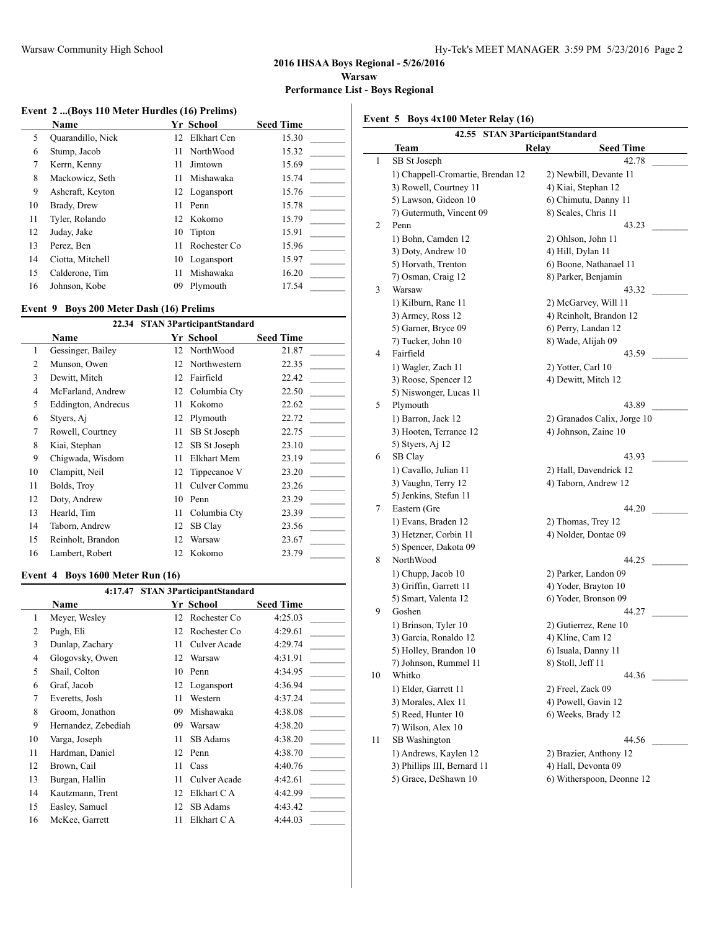#### **2016 IHSAA Boys Regional - 5/26/2016 Warsaw**

**Performance List - Boys Regional**

#### **Event 2 ...(Boys 110 Meter Hurdles (16) Prelims)**

|    | Name              |     | <b>Yr School</b> | <b>Seed Time</b> |
|----|-------------------|-----|------------------|------------------|
| 5  | Quarandillo, Nick | 12. | Elkhart Cen      | 15.30            |
| 6  | Stump, Jacob      | 11  | NorthWood        | 15.32            |
| 7  | Kerrn, Kenny      | 11  | Jimtown          | 15.69            |
| 8  | Mackowicz, Seth   | 11  | Mishawaka        | 15.74            |
| 9  | Ashcraft, Keyton  |     | 12 Logansport    | 15.76            |
| 10 | Brady, Drew       | 11  | Penn             | 15.78            |
| 11 | Tyler, Rolando    |     | 12 Kokomo        | 15.79            |
| 12 | Juday, Jake       | 10  | Tipton           | 15.91            |
| 13 | Perez, Ben        | 11  | Rochester Co.    | 15.96            |
| 14 | Ciotta, Mitchell  | 10  | Logansport       | 15.97            |
| 15 | Calderone, Tim    | 11  | Mishawaka        | 16.20            |
| 16 | Johnson, Kobe     | 09  | Plymouth         | 17.54            |

#### **Event 9 Boys 200 Meter Dash (16) Prelims**

|                |                     |    | 22.34 STAN 3ParticipantStandard |                  |
|----------------|---------------------|----|---------------------------------|------------------|
|                | Name                |    | Yr School                       | <b>Seed Time</b> |
| 1              | Gessinger, Bailey   | 12 | NorthWood                       | 21.87            |
| $\overline{c}$ | Munson, Owen        | 12 | Northwestern                    | 22.35            |
| 3              | Dewitt, Mitch       | 12 | Fairfield                       | 22.42            |
| 4              | McFarland, Andrew   | 12 | Columbia Cty                    | 22.50            |
| 5              | Eddington, Andrecus | 11 | Kokomo                          | 22.62            |
| 6              | Styers, Aj          | 12 | Plymouth                        | 22.72            |
| 7              | Rowell, Courtney    | 11 | SB St Joseph                    | 22.75            |
| 8              | Kiai, Stephan       | 12 | SB St Joseph                    | 23.10            |
| 9              | Chigwada, Wisdom    | 11 | Elkhart Mem                     | 23.19            |
| 10             | Clampitt, Neil      | 12 | Tippecanoe V                    | 23.20            |
| 11             | Bolds, Troy         | 11 | Culver Commu                    | 23.26            |
| 12             | Doty, Andrew        | 10 | Penn                            | 23.29            |
| 13             | Hearld, Tim         | 11 | Columbia Cty                    | 23.39            |
| 14             | Taborn, Andrew      | 12 | SB Clay                         | 23.56            |
| 15             | Reinholt, Brandon   | 12 | Warsaw                          | 23.67            |
| 16             | Lambert, Robert     | 12 | Kokomo                          | 23.79            |

## **Event 4 Boys 1600 Meter Run (16)**

| <b>STAN 3ParticipantStandard</b><br>4:17.47 |                     |    |              |                  |
|---------------------------------------------|---------------------|----|--------------|------------------|
|                                             | <b>Name</b>         |    | Yr School    | <b>Seed Time</b> |
| $\mathbf{1}$                                | Meyer, Wesley       | 12 | Rochester Co | 4:25.03          |
| 2                                           | Pugh, Eli           | 12 | Rochester Co | 4:29.61          |
| 3                                           | Dunlap, Zachary     | 11 | Culver Acade | 4:29.74          |
| 4                                           | Glogovsky, Owen     | 12 | Warsaw       | 4:31.91          |
| 5                                           | Shail, Colton       | 10 | Penn         | 4:34.95          |
| 6                                           | Graf, Jacob         | 12 | Logansport   | 4:36.94          |
| 7                                           | Everetts, Josh      | 11 | Western      | 4:37.24          |
| 8                                           | Groom, Jonathon     | 09 | Mishawaka    | 4:38.08          |
| 9                                           | Hernandez, Zebediah | 09 | Warsaw       | 4:38.20          |
| 10                                          | Varga, Joseph       | 11 | SB Adams     | 4:38.20          |
| 11                                          | Hardman, Daniel     | 12 | Penn         | 4:38.70          |
| 12                                          | Brown, Cail         | 11 | Cass         | 4:40.76          |
| 13                                          | Burgan, Hallin      | 11 | Culver Acade | 4:42.61          |
| 14                                          | Kautzmann, Trent    | 12 | Elkhart C A  | 4:42.99          |
| 15                                          | Easley, Samuel      | 12 | SB Adams     | 4:43.42          |
| 16                                          | McKee, Garrett      | 11 | Elkhart C A  | 4:44.03          |

**Event 5 Boys 4x100 Meter Relay (16)**

|    | 42.55 STAN 3ParticipantStandard   |                             |  |  |  |
|----|-----------------------------------|-----------------------------|--|--|--|
|    | Team<br>Relav                     | <b>Seed Time</b>            |  |  |  |
| 1  | SB St Joseph                      | 42.78                       |  |  |  |
|    | 1) Chappell-Cromartie, Brendan 12 | 2) Newbill, Devante 11      |  |  |  |
|    | 3) Rowell, Courtney 11            | 4) Kiai, Stephan 12         |  |  |  |
|    | 5) Lawson, Gideon 10              | 6) Chimutu, Danny 11        |  |  |  |
|    | 7) Gutermuth, Vincent 09          | 8) Scales, Chris 11         |  |  |  |
| 2  | Penn                              | 43.23                       |  |  |  |
|    | 1) Bohn, Camden 12                | 2) Ohlson, John 11          |  |  |  |
|    | 3) Doty, Andrew 10                | 4) Hill, Dylan 11           |  |  |  |
|    | 5) Horvath, Trenton               | 6) Boone, Nathanael 11      |  |  |  |
|    | 7) Osman, Craig 12                | 8) Parker, Benjamin         |  |  |  |
| 3  | Warsaw                            | 43.32                       |  |  |  |
|    | 1) Kilburn, Rane 11               | 2) McGarvey, Will 11        |  |  |  |
|    | 3) Armey, Ross 12                 | 4) Reinholt, Brandon 12     |  |  |  |
|    | 5) Garner, Bryce 09               | 6) Perry, Landan 12         |  |  |  |
|    | 7) Tucker, John 10                | 8) Wade, Alijah 09          |  |  |  |
| 4  | Fairfield                         | 43.59                       |  |  |  |
|    | 1) Wagler, Zach 11                | 2) Yotter, Carl 10          |  |  |  |
|    | 3) Roose, Spencer 12              | 4) Dewitt, Mitch 12         |  |  |  |
|    | 5) Niswonger, Lucas 11            |                             |  |  |  |
| 5  | Plymouth                          | 43.89                       |  |  |  |
|    | 1) Barron, Jack 12                | 2) Granados Calix, Jorge 10 |  |  |  |
|    | 3) Hooten, Terrance 12            | 4) Johnson, Zaine 10        |  |  |  |
|    | 5) Styers, Aj 12                  |                             |  |  |  |
| 6  | SB Clay                           | 43.93                       |  |  |  |
|    | 1) Cavallo, Julian 11             | 2) Hall, Davendrick 12      |  |  |  |
|    | 3) Vaughn, Terry 12               | 4) Taborn, Andrew 12        |  |  |  |
|    | 5) Jenkins, Stefun 11             |                             |  |  |  |
| 7  | Eastern (Gre                      | 44.20                       |  |  |  |
|    | 1) Evans, Braden 12               | 2) Thomas, Trey 12          |  |  |  |
|    | 3) Hetzner, Corbin 11             | 4) Nolder, Dontae 09        |  |  |  |
|    | 5) Spencer, Dakota 09             |                             |  |  |  |
| 8  | NorthWood                         | 44.25                       |  |  |  |
|    | 1) Chupp, Jacob 10                | 2) Parker, Landon 09        |  |  |  |
|    | 3) Griffin, Garrett 11            | 4) Yoder, Brayton 10        |  |  |  |
|    | 5) Smart, Valenta 12              | 6) Yoder, Bronson 09        |  |  |  |
| 9  | Goshen                            | 44.27                       |  |  |  |
|    | 1) Brinson, Tyler 10              | 2) Gutierrez, Rene 10       |  |  |  |
|    | 3) Garcia, Ronaldo 12             | 4) Kline, Cam 12            |  |  |  |
|    | 5) Holley, Brandon 10             | 6) Isuala, Danny 11         |  |  |  |
|    | 7) Johnson, Rummel 11             | 8) Stoll, Jeff 11           |  |  |  |
| 10 | Whitko                            | 44.36                       |  |  |  |
|    | 1) Elder, Garrett 11              | 2) Freel, Zack 09           |  |  |  |
|    | 3) Morales, Alex 11               | 4) Powell, Gavin 12         |  |  |  |
|    | 5) Reed, Hunter 10                | 6) Weeks, Brady 12          |  |  |  |
|    | 7) Wilson, Alex 10                |                             |  |  |  |
| 11 | SB Washington                     | 44.56                       |  |  |  |
|    | 1) Andrews, Kaylen 12             | 2) Brazier, Anthony 12      |  |  |  |
|    | 3) Phillips III, Bernard 11       | 4) Hall, Devonta 09         |  |  |  |
|    | 5) Grace, DeShawn 10              | 6) Witherspoon, Deonne 12   |  |  |  |
|    |                                   |                             |  |  |  |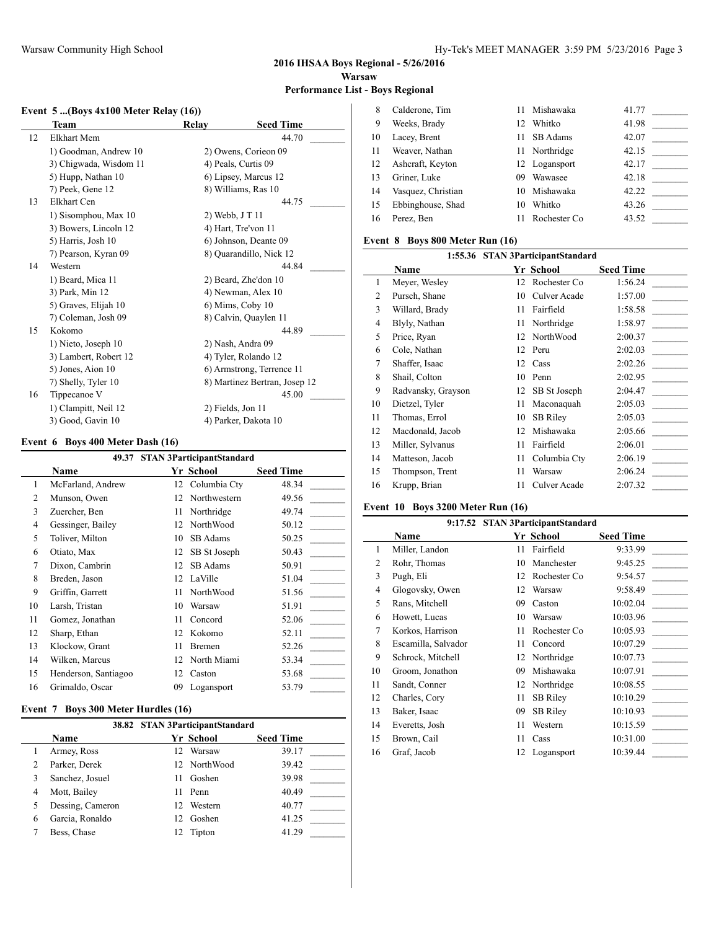## **2016 IHSAA Boys Regional - 5/26/2016 Warsaw**

**Performance List - Boys Regional**  $\overline{\phantom{a}}$ 

## **Event 5 ...(Boys 4x100 Meter Relay (16))**

| Team                   | Relay | <b>Seed Time</b>              |
|------------------------|-------|-------------------------------|
| Elkhart Mem            |       | 44.70                         |
| 1) Goodman, Andrew 10  |       | 2) Owens, Corieon 09          |
| 3) Chigwada, Wisdom 11 |       | 4) Peals, Curtis 09           |
| 5) Hupp, Nathan 10     |       | 6) Lipsey, Marcus 12          |
| 7) Peek, Gene 12       |       | 8) Williams, Ras 10           |
| Elkhart Cen            |       | 44.75                         |
| 1) Sisomphou, Max 10   |       | 2) Webb, J T 11               |
| 3) Bowers, Lincoln 12  |       | 4) Hart, Tre'von 11           |
| 5) Harris, Josh 10     |       | 6) Johnson, Deante 09         |
| 7) Pearson, Kyran 09   |       | 8) Quarandillo, Nick 12       |
| Western                |       | 44.84                         |
| 1) Beard, Mica 11      |       | 2) Beard, Zhe'don 10          |
| 3) Park, Min 12        |       | 4) Newman, Alex 10            |
| 5) Graves, Elijah 10   |       | 6) Mims, Coby 10              |
| 7) Coleman, Josh 09    |       | 8) Calvin, Quaylen 11         |
| Kokomo                 |       | 44.89                         |
| 1) Nieto, Joseph 10    |       | 2) Nash, Andra 09             |
| 3) Lambert, Robert 12  |       | 4) Tyler, Rolando 12          |
| 5) Jones, Aion 10      |       | 6) Armstrong, Terrence 11     |
| 7) Shelly, Tyler 10    |       | 8) Martinez Bertran, Josep 12 |
| Tippecanoe V           |       | 45.00                         |
| 1) Clampitt, Neil 12   |       | 2) Fields, Jon 11             |
| 3) Good, Gavin 10      |       | 4) Parker, Dakota 10          |
|                        |       |                               |

#### **Event 6 Boys 400 Meter Dash (16)**

| 49.37 STAN 3ParticipantStandard |                      |    |              |                  |
|---------------------------------|----------------------|----|--------------|------------------|
|                                 | Name                 |    | Yr School    | <b>Seed Time</b> |
| 1                               | McFarland, Andrew    | 12 | Columbia Ctv | 48.34            |
| $\overline{c}$                  | Munson, Owen         | 12 | Northwestern | 49.56            |
| 3                               | Zuercher, Ben        | 11 | Northridge   | 49.74            |
| 4                               | Gessinger, Bailey    | 12 | NorthWood    | 50.12            |
| 5                               | Toliver, Milton      | 10 | SB Adams     | 50.25            |
| 6                               | Otiato, Max          | 12 | SB St Joseph | 50.43            |
| 7                               | Dixon, Cambrin       | 12 | SB Adams     | 50.91            |
| 8                               | Breden, Jason        | 12 | LaVille      | 51.04            |
| 9                               | Griffin, Garrett     | 11 | NorthWood    | 51.56            |
| 10                              | Larsh, Tristan       | 10 | Warsaw       | 51.91            |
| 11                              | Gomez, Jonathan      | 11 | Concord      | 52.06            |
| 12                              | Sharp, Ethan         | 12 | Kokomo       | 52.11            |
| 13                              | Klockow, Grant       | 11 | Bremen       | 52.26            |
| 14                              | Wilken, Marcus       | 12 | North Miami  | 53.34            |
| 15                              | Henderson, Santiagoo | 12 | Caston       | 53.68            |
| 16                              | Grimaldo, Oscar      | 09 | Logansport   | 53.79            |

#### **Event 7 Boys 300 Meter Hurdles (16)**

|   | 38.82 STAN 3ParticipantStandard |     |                  |                  |  |  |
|---|---------------------------------|-----|------------------|------------------|--|--|
|   | <b>Name</b>                     |     | <b>Yr School</b> | <b>Seed Time</b> |  |  |
|   | Armey, Ross                     | 12. | Warsaw           | 39.17            |  |  |
| 2 | Parker, Derek                   |     | 12 NorthWood     | 39.42            |  |  |
| 3 | Sanchez, Josuel                 | 11  | Goshen           | 39.98            |  |  |
| 4 | Mott, Bailey                    | 11  | Penn             | 40.49            |  |  |
| 5 | Dessing, Cameron                | 12. | Western          | 40.77            |  |  |
| 6 | Garcia, Ronaldo                 | 12. | Goshen           | 41.25            |  |  |
|   | Bess, Chase                     | 12  | Tipton           | 41.29            |  |  |

| 8  | Calderone, Tim     | 11 | Mishawaka     | 41.77 |  |
|----|--------------------|----|---------------|-------|--|
| 9  | Weeks, Brady       | 12 | Whitko        | 41.98 |  |
| 10 | Lacey, Brent       | 11 | SB Adams      | 42.07 |  |
| 11 | Weaver, Nathan     |    | 11 Northridge | 42.15 |  |
| 12 | Ashcraft, Keyton   |    | 12 Logansport | 42.17 |  |
| 13 | Griner, Luke       | 09 | Wawasee       | 42.18 |  |
| 14 | Vasquez, Christian | 10 | Mishawaka     | 42.22 |  |
| 15 | Ebbinghouse, Shad  | 10 | Whitko        | 43.26 |  |
| 16 | Perez, Ben         | 11 | Rochester Co  | 43.52 |  |
|    |                    |    |               |       |  |

## **Event 8 Boys 800 Meter Run (16)**

| 1:55.36 STAN 3ParticipantStandard |                    |    |                 |                  |
|-----------------------------------|--------------------|----|-----------------|------------------|
|                                   | Name               |    | Yr School       | <b>Seed Time</b> |
| 1                                 | Meyer, Wesley      | 12 | Rochester Co    | 1:56.24          |
| $\overline{2}$                    | Pursch, Shane      | 10 | Culver Acade    | 1:57.00          |
| 3                                 | Willard, Brady     | 11 | Fairfield       | 1:58.58          |
| 4                                 | Blyly, Nathan      | 11 | Northridge      | 1:58.97          |
| 5                                 | Price, Ryan        | 12 | NorthWood       | 2:00.37          |
| 6                                 | Cole, Nathan       | 12 | Peru            | 2:02.03          |
| 7                                 | Shaffer, Isaac     |    | 12 Cass         | 2:02.26          |
| 8                                 | Shail, Colton      | 10 | Penn            | 2:02.95          |
| 9                                 | Radvansky, Grayson | 12 | SB St Joseph    | 2:04.47          |
| 10                                | Dietzel, Tyler     | 11 | Maconaquah      | 2:05.03          |
| 11                                | Thomas, Errol      | 10 | <b>SB Rilev</b> | 2:05.03          |
| 12                                | Macdonald, Jacob   | 12 | Mishawaka       | 2:05.66          |
| 13                                | Miller, Sylvanus   | 11 | Fairfield       | 2:06.01          |
| 14                                | Matteson, Jacob    | 11 | Columbia Cty    | 2:06.19          |
| 15                                | Thompson, Trent    | 11 | Warsaw          | 2:06.24          |
| 16                                | Krupp, Brian       | 11 | Culver Acade    | 2:07.32          |

## **Event 10 Boys 3200 Meter Run (16)**

|    | 9:17.52 STAN 3ParticipantStandard |    |                 |                  |  |
|----|-----------------------------------|----|-----------------|------------------|--|
|    | <b>Name</b>                       |    | Yr School       | <b>Seed Time</b> |  |
| 1  | Miller, Landon                    | 11 | Fairfield       | 9:33.99          |  |
| 2  | Rohr, Thomas                      | 10 | Manchester      | 9:45.25          |  |
| 3  | Pugh, Eli                         | 12 | Rochester Co    | 9:54.57          |  |
| 4  | Glogovsky, Owen                   | 12 | Warsaw          | 9:58.49          |  |
| 5  | Rans, Mitchell                    | 09 | Caston          | 10:02.04         |  |
| 6  | Howett, Lucas                     | 10 | Warsaw          | 10:03.96         |  |
| 7  | Korkos, Harrison                  | 11 | Rochester Co    | 10:05.93         |  |
| 8  | Escamilla, Salvador               | 11 | Concord         | 10:07.29         |  |
| 9  | Schrock, Mitchell                 | 12 | Northridge      | 10:07.73         |  |
| 10 | Groom, Jonathon                   | 09 | Mishawaka       | 10:07.91         |  |
| 11 | Sandt, Conner                     | 12 | Northridge      | 10:08.55         |  |
| 12 | Charles, Cory                     | 11 | <b>SB</b> Riley | 10:10.29         |  |
| 13 | Baker, Isaac                      | 09 | <b>SB</b> Riley | 10:10.93         |  |
| 14 | Everetts, Josh                    | 11 | Western         | 10:15.59         |  |
| 15 | Brown, Cail                       | 11 | Cass            | 10:31.00         |  |
| 16 | Graf, Jacob                       | 12 | Logansport      | 10:39.44         |  |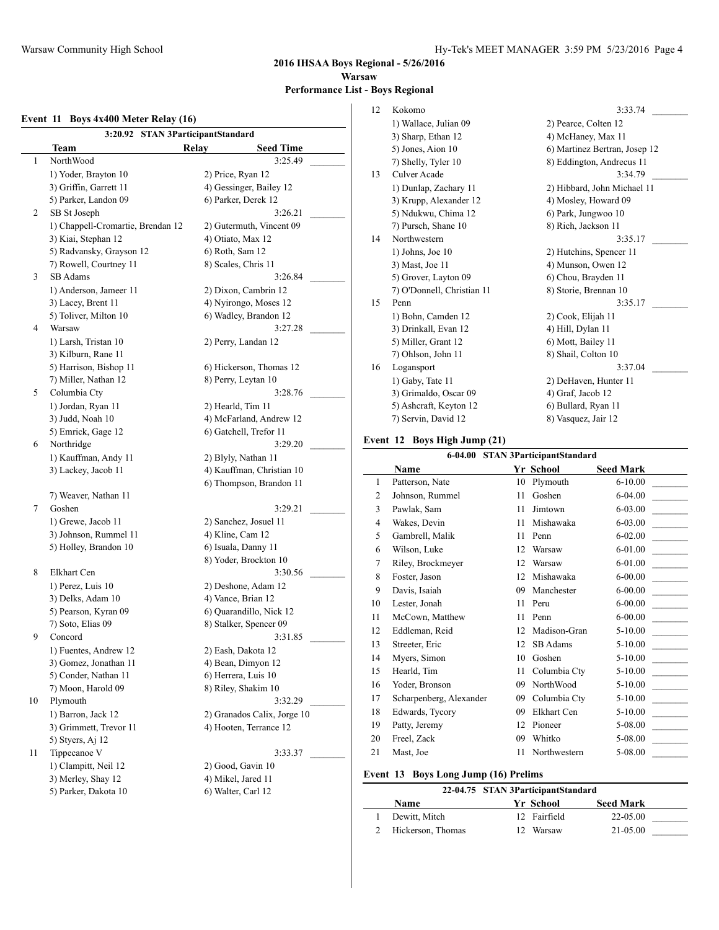**2016 IHSAA Boys Regional - 5/26/2016 Warsaw Performance List - Boys Regional**

#### **Event 11 Boys 4x400 Meter Relay (16)**

| 3:20.92 STAN 3ParticipantStandard |                                             |
|-----------------------------------|---------------------------------------------|
| Team<br>NorthWood                 | <b>Relay</b><br><b>Seed Time</b><br>3:25.49 |
|                                   |                                             |
| 1) Yoder, Brayton 10              | 2) Price, Ryan 12                           |
| 3) Griffin, Garrett 11            | 4) Gessinger, Bailey 12                     |
| 5) Parker, Landon 09              | 6) Parker, Derek 12                         |
| 2<br>SB St Joseph                 | 3:26.21                                     |
| 1) Chappell-Cromartie, Brendan 12 | 2) Gutermuth, Vincent 09                    |
| 3) Kiai, Stephan 12               | 4) Otiato, Max 12                           |
| 5) Radvansky, Grayson 12          | 6) Roth, Sam 12                             |
| 7) Rowell, Courtney 11            | 8) Scales, Chris 11                         |
| SB Adams                          | 3:26.84                                     |
| 1) Anderson, Jameer 11            | 2) Dixon, Cambrin 12                        |
| 3) Lacey, Brent 11                | 4) Nyirongo, Moses 12                       |
| 5) Toliver, Milton 10             | 6) Wadley, Brandon 12                       |
| Warsaw                            | 3:27.28                                     |
| 1) Larsh, Tristan 10              | 2) Perry, Landan 12                         |
| 3) Kilburn, Rane 11               |                                             |
| 5) Harrison, Bishop 11            | 6) Hickerson, Thomas 12                     |
| 7) Miller, Nathan 12              | 8) Perry, Leytan 10                         |
| Columbia Cty                      | 3:28.76                                     |
| 1) Jordan, Ryan 11                | 2) Hearld, Tim 11                           |
| 3) Judd, Noah 10                  | 4) McFarland, Andrew 12                     |
| 5) Emrick, Gage 12                | 6) Gatchell, Trefor 11                      |
| Northridge                        | 3:29.20                                     |
| 1) Kauffman, Andy 11              | 2) Blyly, Nathan 11                         |
| 3) Lackey, Jacob 11               | 4) Kauffman, Christian 10                   |
|                                   | 6) Thompson, Brandon 11                     |
| 7) Weaver, Nathan 11              |                                             |
| Goshen                            | 3:29.21                                     |
| 1) Grewe, Jacob 11                |                                             |
|                                   | 2) Sanchez, Josuel 11                       |
| 3) Johnson, Rummel 11             | 4) Kline, Cam 12                            |
| 5) Holley, Brandon 10             | 6) Isuala, Danny 11                         |
|                                   | 8) Yoder, Brockton 10                       |
| Elkhart Cen                       | 3:30.56                                     |
| 1) Perez, Luis 10                 | 2) Deshone, Adam 12                         |
| 3) Delks, Adam 10                 | 4) Vance, Brian 12                          |
| 5) Pearson, Kyran 09              | 6) Ouarandillo, Nick 12                     |
| 7) Soto, Elias 09                 | 8) Stalker, Spencer 09                      |
| 9<br>Concord                      | 3:31.85                                     |
| 1) Fuentes, Andrew 12             | 2) Eash, Dakota 12                          |
| 3) Gomez, Jonathan 11             | 4) Bean, Dimyon 12                          |
| 5) Conder, Nathan 11              | 6) Herrera, Luis 10                         |
| 7) Moon, Harold 09                | 8) Riley, Shakim 10                         |
| Plymouth                          | 3:32.29                                     |
| 1) Barron, Jack 12                | 2) Granados Calix, Jorge 10                 |
| 3) Grimmett, Trevor 11            | 4) Hooten, Terrance 12                      |
| 5) Styers, Aj 12                  |                                             |
| Tippecanoe V                      | 3:33.37                                     |
| 1) Clampitt, Neil 12              | 2) Good, Gavin 10                           |
| 3) Merley, Shay 12                | 4) Mikel, Jared 11                          |
| 5) Parker, Dakota 10              | 6) Walter, Carl 12                          |
|                                   |                                             |

| 12 | Kokomo                     | 3:33.74                       |
|----|----------------------------|-------------------------------|
|    | 1) Wallace, Julian 09      | 2) Pearce, Colten 12          |
|    | 3) Sharp, Ethan 12         | 4) McHaney, Max 11            |
|    | 5) Jones, Aion 10          | 6) Martinez Bertran, Josep 12 |
|    | 7) Shelly, Tyler 10        | 8) Eddington, Andrecus 11     |
| 13 | Culver Acade               | 3:34.79                       |
|    | 1) Dunlap, Zachary 11      | 2) Hibbard, John Michael 11   |
|    | 3) Krupp, Alexander 12     | 4) Mosley, Howard 09          |
|    | 5) Ndukwu, Chima 12        | 6) Park, Jungwoo 10           |
|    | 7) Pursch, Shane 10        | 8) Rich, Jackson 11           |
| 14 | Northwestern               | 3:35.17                       |
|    | $1)$ Johns, Joe $10$       | 2) Hutchins, Spencer 11       |
|    | 3) Mast, Joe 11            | 4) Munson, Owen 12            |
|    | 5) Grover, Layton 09       | 6) Chou, Brayden 11           |
|    | 7) O'Donnell, Christian 11 | 8) Storie, Brennan 10         |
| 15 | Penn                       | 3:35.17                       |
|    | 1) Bohn, Camden 12         | 2) Cook, Elijah 11            |
|    | 3) Drinkall, Evan 12       | 4) Hill, Dylan 11             |
|    | 5) Miller, Grant 12        | 6) Mott, Bailey 11            |
|    | 7) Ohlson, John 11         | 8) Shail, Colton 10           |
| 16 | Logansport                 | 3:37.04                       |
|    | 1) Gaby, Tate 11           | 2) DeHaven, Hunter 11         |
|    | 3) Grimaldo, Oscar 09      | 4) Graf, Jacob 12             |
|    | 5) Ashcraft, Keyton 12     | 6) Bullard, Ryan 11           |
|    | 7) Servin, David 12        | 8) Vasquez, Jair 12           |
|    |                            |                               |

#### **Event 12 Boys High Jump (21)**

|                | 6-04.00 STAN 3ParticipantStandard |    |              |                                         |  |  |
|----------------|-----------------------------------|----|--------------|-----------------------------------------|--|--|
|                | <b>Name</b>                       |    | Yr School    | <b>Seed Mark</b>                        |  |  |
| $\mathbf{1}$   | Patterson, Nate                   | 10 | Plymouth     | $6 - 10.00$                             |  |  |
| $\overline{2}$ | Johnson, Rummel                   | 11 | Goshen       | $6 - 04.00$                             |  |  |
| 3              | Pawlak, Sam                       | 11 | Jimtown      | 6-03.00<br><b>Contract Contract</b>     |  |  |
| 4              | Wakes, Devin                      | 11 | Mishawaka    | 6-03.00                                 |  |  |
| 5              | Gambrell, Malik                   | 11 | Penn         | $6 - 02.00$<br><b>Contract Contract</b> |  |  |
| 6              | Wilson, Luke                      | 12 | Warsaw       | 6-01.00                                 |  |  |
| 7              | Riley, Brockmeyer                 | 12 | Warsaw       | 6-01.00                                 |  |  |
| 8              | Foster, Jason                     | 12 | Mishawaka    | $6 - 00.00$                             |  |  |
| 9              | Davis, Isaiah                     | 09 | Manchester   | $6 - 00.00$                             |  |  |
| 10             | Lester, Jonah                     | 11 | Peru         | $6 - 00.00$                             |  |  |
| 11             | McCown, Matthew                   | 11 | Penn         | $6 - 00.00$                             |  |  |
| 12             | Eddleman, Reid                    | 12 | Madison-Gran | $5 - 10.00$                             |  |  |
| 13             | Streeter, Eric                    | 12 | SB Adams     | 5-10.00                                 |  |  |
| 14             | Myers, Simon                      | 10 | Goshen       | $5-10.00$                               |  |  |
| 15             | Hearld, Tim                       | 11 | Columbia Ctv | $5-10.00$                               |  |  |
| 16             | Yoder, Bronson                    | 09 | NorthWood    | $5-10.00$                               |  |  |
| 17             | Scharpenberg, Alexander           | 09 | Columbia Ctv | 5-10.00                                 |  |  |
| 18             | Edwards, Tycory                   | 09 | Elkhart Cen  | 5-10.00                                 |  |  |
| 19             | Patty, Jeremy                     | 12 | Pioneer      | 5-08.00                                 |  |  |
| 20             | Freel, Zack                       | 09 | Whitko       | 5-08.00                                 |  |  |
| 21             | Mast, Joe                         | 11 | Northwestern | 5-08.00                                 |  |  |

## **Event 13 Boys Long Jump (16) Prelims**

|   |                   | 22-04.75 STAN 3ParticipantStandard |              |                  |  |
|---|-------------------|------------------------------------|--------------|------------------|--|
|   | Name              |                                    | Yr School    | <b>Seed Mark</b> |  |
|   | Dewitt, Mitch     |                                    | 12 Fairfield | 22-05.00         |  |
| 2 | Hickerson, Thomas |                                    | 12 Warsaw    | 21-05.00         |  |